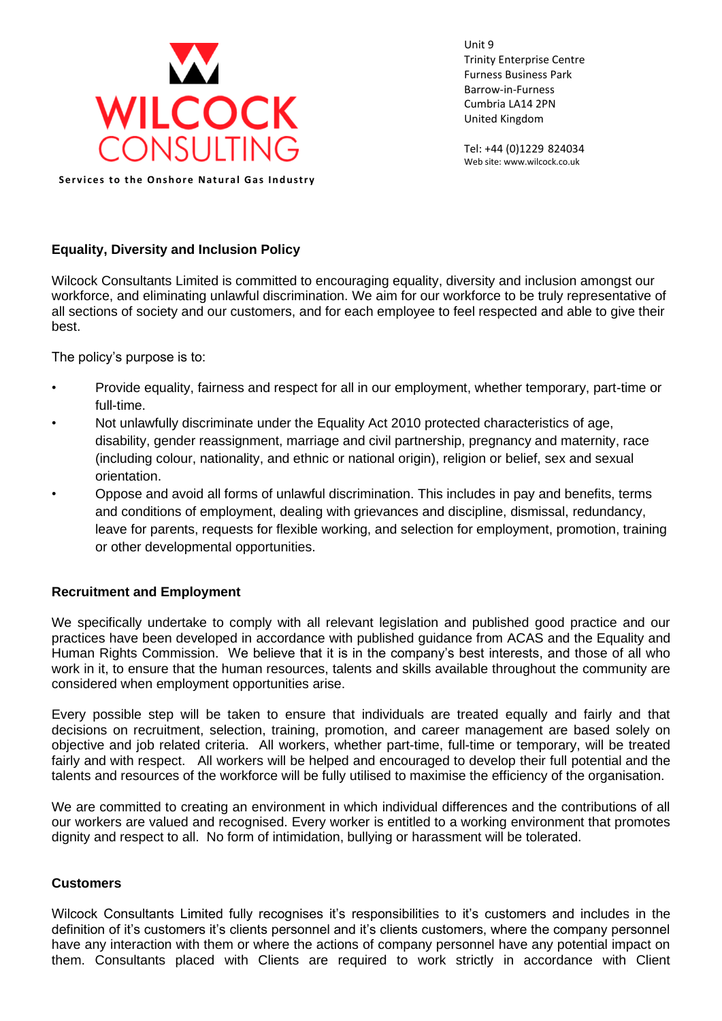

Unit 9 Trinity Enterprise Centre Furness Business Park Barrow-in-Furness Cumbria LA14 2PN United Kingdom

Tel: +44 (0)1229 824034 Web site: www.wilcock.co.uk

**Services to the Onshore Natural Gas Industry** 

## **Equality, Diversity and Inclusion Policy**

Wilcock Consultants Limited is committed to encouraging equality, diversity and inclusion amongst our workforce, and eliminating unlawful discrimination. We aim for our workforce to be truly representative of all sections of society and our customers, and for each employee to feel respected and able to give their best.

The policy's purpose is to:

- Provide equality, fairness and respect for all in our employment, whether temporary, part-time or full-time.
- Not unlawfully discriminate under the Equality Act 2010 protected characteristics of age, disability, gender reassignment, marriage and civil partnership, pregnancy and maternity, race (including colour, nationality, and ethnic or national origin), religion or belief, sex and sexual orientation.
- Oppose and avoid all forms of unlawful discrimination. This includes in pay and benefits, terms and conditions of employment, dealing with grievances and discipline, dismissal, redundancy, leave for parents, requests for flexible working, and selection for employment, promotion, training or other developmental opportunities.

## **Recruitment and Employment**

We specifically undertake to comply with all relevant legislation and published good practice and our practices have been developed in accordance with published guidance from ACAS and the Equality and Human Rights Commission. We believe that it is in the company's best interests, and those of all who work in it, to ensure that the human resources, talents and skills available throughout the community are considered when employment opportunities arise.

Every possible step will be taken to ensure that individuals are treated equally and fairly and that decisions on recruitment, selection, training, promotion, and career management are based solely on objective and job related criteria. All workers, whether part-time, full-time or temporary, will be treated fairly and with respect. All workers will be helped and encouraged to develop their full potential and the talents and resources of the workforce will be fully utilised to maximise the efficiency of the organisation.

We are committed to creating an environment in which individual differences and the contributions of all our workers are valued and recognised. Every worker is entitled to a working environment that promotes dignity and respect to all. No form of intimidation, bullying or harassment will be tolerated.

## **Customers**

Wilcock Consultants Limited fully recognises it's responsibilities to it's customers and includes in the definition of it's customers it's clients personnel and it's clients customers, where the company personnel have any interaction with them or where the actions of company personnel have any potential impact on them. Consultants placed with Clients are required to work strictly in accordance with Client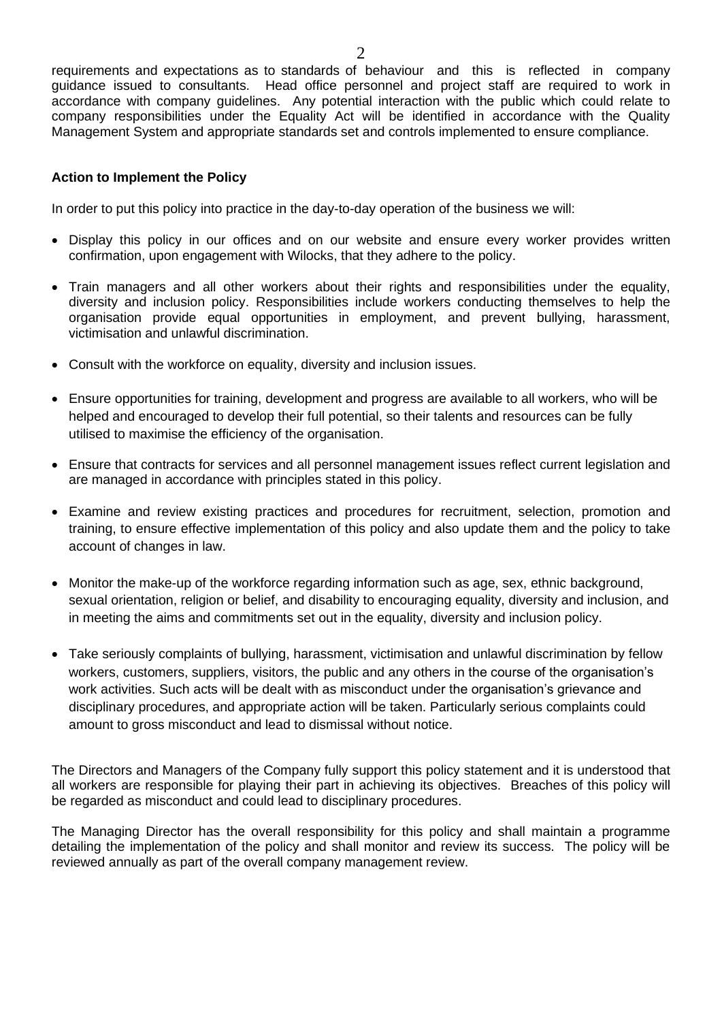requirements and expectations as to standards of behaviour and this is reflected in company guidance issued to consultants. Head office personnel and project staff are required to work in accordance with company guidelines. Any potential interaction with the public which could relate to company responsibilities under the Equality Act will be identified in accordance with the Quality Management System and appropriate standards set and controls implemented to ensure compliance.

## **Action to Implement the Policy**

In order to put this policy into practice in the day-to-day operation of the business we will:

- Display this policy in our offices and on our website and ensure every worker provides written confirmation, upon engagement with Wilocks, that they adhere to the policy.
- Train managers and all other workers about their rights and responsibilities under the equality, diversity and inclusion policy. Responsibilities include workers conducting themselves to help the organisation provide equal opportunities in employment, and prevent bullying, harassment, victimisation and unlawful discrimination.
- Consult with the workforce on equality, diversity and inclusion issues.
- Ensure opportunities for training, development and progress are available to all workers, who will be helped and encouraged to develop their full potential, so their talents and resources can be fully utilised to maximise the efficiency of the organisation.
- Ensure that contracts for services and all personnel management issues reflect current legislation and are managed in accordance with principles stated in this policy.
- Examine and review existing practices and procedures for recruitment, selection, promotion and training, to ensure effective implementation of this policy and also update them and the policy to take account of changes in law.
- Monitor the make-up of the workforce regarding information such as age, sex, ethnic background, sexual orientation, religion or belief, and disability to encouraging equality, diversity and inclusion, and in meeting the aims and commitments set out in the equality, diversity and inclusion policy.
- Take seriously complaints of bullying, harassment, victimisation and unlawful discrimination by fellow workers, customers, suppliers, visitors, the public and any others in the course of the organisation's work activities. Such acts will be dealt with as misconduct under the organisation's grievance and disciplinary procedures, and appropriate action will be taken. Particularly serious complaints could amount to gross misconduct and lead to dismissal without notice.

The Directors and Managers of the Company fully support this policy statement and it is understood that all workers are responsible for playing their part in achieving its objectives. Breaches of this policy will be regarded as misconduct and could lead to disciplinary procedures.

The Managing Director has the overall responsibility for this policy and shall maintain a programme detailing the implementation of the policy and shall monitor and review its success. The policy will be reviewed annually as part of the overall company management review.